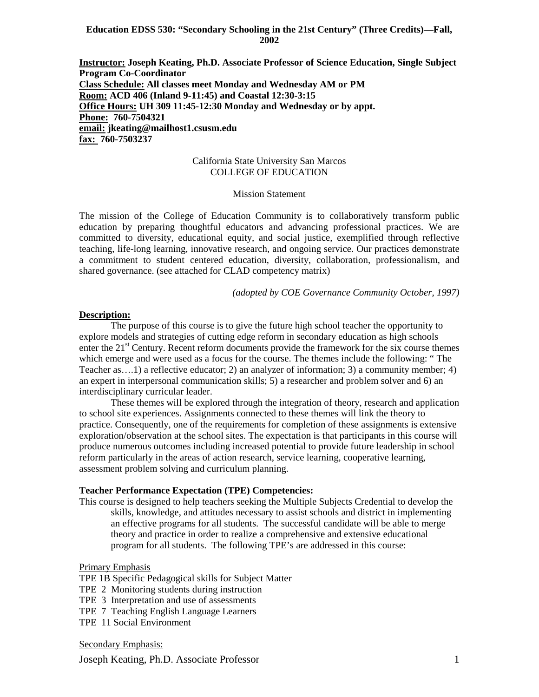### **Education EDSS 530: "Secondary Schooling in the 21st Century" (Three Credits)—Fall, 2002**

**Instructor: Joseph Keating, Ph.D. Associate Professor of Science Education, Single Subject Program Co-Coordinator Class Schedule: All classes meet Monday and Wednesday AM or PM Room: ACD 406 (Inland 9-11:45) and Coastal 12:30-3:15 Office Hours: UH 309 11:45-12:30 Monday and Wednesday or by appt. Phone: 760-7504321 email: jkeating@mailhost1.csusm.edu fax: 760-7503237**

#### California State University San Marcos COLLEGE OF EDUCATION

### Mission Statement

The mission of the College of Education Community is to collaboratively transform public education by preparing thoughtful educators and advancing professional practices. We are committed to diversity, educational equity, and social justice, exemplified through reflective teaching, life-long learning, innovative research, and ongoing service. Our practices demonstrate a commitment to student centered education, diversity, collaboration, professionalism, and shared governance. (see attached for CLAD competency matrix)

*(adopted by COE Governance Community October, 1997)*

#### **Description:**

The purpose of this course is to give the future high school teacher the opportunity to explore models and strategies of cutting edge reform in secondary education as high schools enter the  $21<sup>st</sup>$  Century. Recent reform documents provide the framework for the six course themes which emerge and were used as a focus for the course. The themes include the following: " The Teacher as….1) a reflective educator; 2) an analyzer of information; 3) a community member; 4) an expert in interpersonal communication skills; 5) a researcher and problem solver and 6) an interdisciplinary curricular leader.

These themes will be explored through the integration of theory, research and application to school site experiences. Assignments connected to these themes will link the theory to practice. Consequently, one of the requirements for completion of these assignments is extensive exploration/observation at the school sites. The expectation is that participants in this course will produce numerous outcomes including increased potential to provide future leadership in school reform particularly in the areas of action research, service learning, cooperative learning, assessment problem solving and curriculum planning.

#### **Teacher Performance Expectation (TPE) Competencies:**

This course is designed to help teachers seeking the Multiple Subjects Credential to develop the skills, knowledge, and attitudes necessary to assist schools and district in implementing an effective programs for all students. The successful candidate will be able to merge theory and practice in order to realize a comprehensive and extensive educational program for all students. The following TPE's are addressed in this course:

#### Primary Emphasis

TPE 1B Specific Pedagogical skills for Subject Matter

- TPE 2 Monitoring students during instruction
- TPE 3 Interpretation and use of assessments
- TPE 7 Teaching English Language Learners
- TPE 11 Social Environment

#### Secondary Emphasis:

Joseph Keating, Ph.D. Associate Professor 1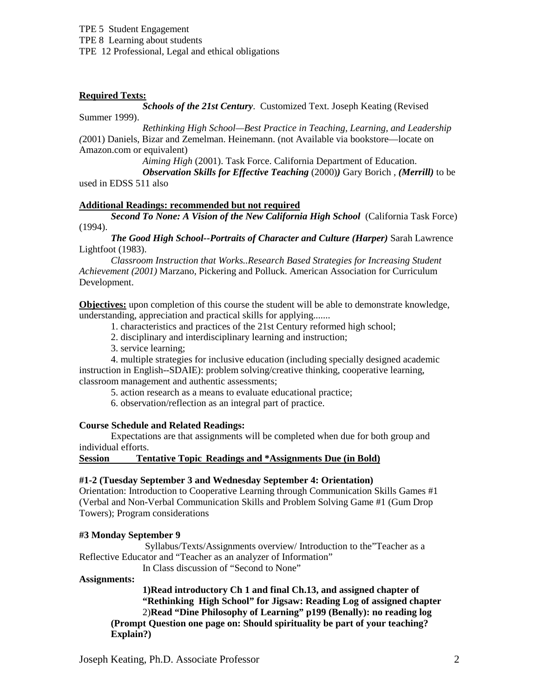## **Required Texts:**

*Schools of the 21st Century*. Customized Text. Joseph Keating (Revised Summer 1999).

*Rethinking High School—Best Practice in Teaching, Learning, and Leadership (*2001) Daniels, Bizar and Zemelman. Heinemann. (not Available via bookstore—locate on Amazon.com or equivalent)

*Aiming High* (2001). Task Force. California Department of Education.

*Observation Skills for Effective Teaching* (2000)*)* Gary Borich , *(Merrill)* to be used in EDSS 511 also

### **Additional Readings: recommended but not required**

*Second To None: A Vision of the New California High School* (California Task Force) (1994).

*The Good High School--Portraits of Character and Culture (Harper)* Sarah Lawrence Lightfoot (1983).

*Classroom Instruction that Works..Research Based Strategies for Increasing Student Achievement (2001)* Marzano, Pickering and Polluck. American Association for Curriculum Development.

**Objectives:** upon completion of this course the student will be able to demonstrate knowledge, understanding, appreciation and practical skills for applying.......

1. characteristics and practices of the 21st Century reformed high school;

2. disciplinary and interdisciplinary learning and instruction;

3. service learning;

4. multiple strategies for inclusive education (including specially designed academic instruction in English--SDAIE): problem solving/creative thinking, cooperative learning, classroom management and authentic assessments;

5. action research as a means to evaluate educational practice;

6. observation/reflection as an integral part of practice.

### **Course Schedule and Related Readings:**

Expectations are that assignments will be completed when due for both group and individual efforts.

**Session Tentative Topic Readings and \*Assignments Due (in Bold)**

### **#1-2 (Tuesday September 3 and Wednesday September 4: Orientation)**

Orientation: Introduction to Cooperative Learning through Communication Skills Games #1 (Verbal and Non-Verbal Communication Skills and Problem Solving Game #1 (Gum Drop Towers); Program considerations

### **#3 Monday September 9**

Syllabus/Texts/Assignments overview/ Introduction to the"Teacher as a Reflective Educator and "Teacher as an analyzer of Information"

In Class discussion of "Second to None"

#### **Assignments:**

**1)Read introductory Ch 1 and final Ch.13, and assigned chapter of "Rethinking High School" for Jigsaw: Reading Log of assigned chapter** 2)**Read "Dine Philosophy of Learning" p199 (Benally): no reading log (Prompt Question one page on: Should spirituality be part of your teaching? Explain?)**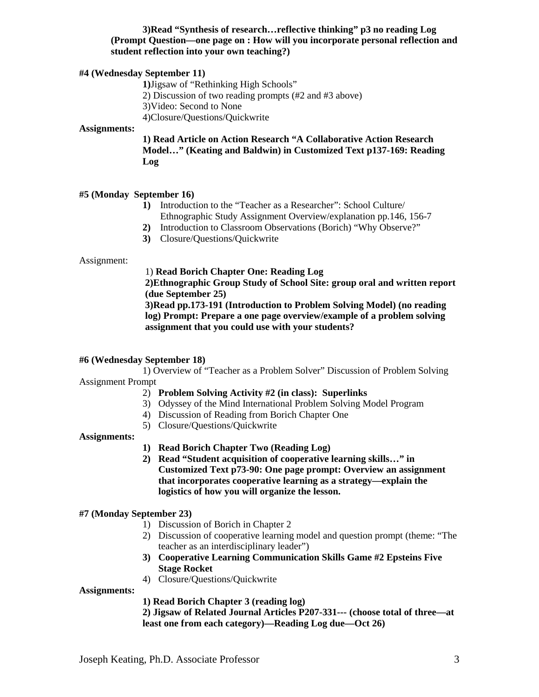## **3)Read "Synthesis of research…reflective thinking" p3 no reading Log (Prompt Question—one page on : How will you incorporate personal reflection and student reflection into your own teaching?)**

### **#4 (Wednesday September 11)**

**1)**Jigsaw of "Rethinking High Schools"

2) Discussion of two reading prompts (#2 and #3 above)

3)Video: Second to None

4)Closure/Questions/Quickwrite

### **Assignments:**

**1) Read Article on Action Research "A Collaborative Action Research Model…" (Keating and Baldwin) in Customized Text p137-169: Reading Log**

#### **#5 (Monday September 16)**

- **1)** Introduction to the "Teacher as a Researcher": School Culture/ Ethnographic Study Assignment Overview/explanation pp.146, 156-7
- **2)** Introduction to Classroom Observations (Borich) "Why Observe?"
- **3)** Closure/Questions/Quickwrite

Assignment:

### 1) **Read Borich Chapter One: Reading Log**

**2)Ethnographic Group Study of School Site: group oral and written report (due September 25)**

**3)Read pp.173-191 (Introduction to Problem Solving Model) (no reading log) Prompt: Prepare a one page overview/example of a problem solving assignment that you could use with your students?**

#### **#6 (Wednesday September 18)**

1) Overview of "Teacher as a Problem Solver" Discussion of Problem Solving Assignment Prompt

- 2) **Problem Solving Activity #2 (in class): Superlinks**
- 3) Odyssey of the Mind International Problem Solving Model Program
- 4) Discussion of Reading from Borich Chapter One
- 5) Closure/Questions/Quickwrite

#### **Assignments:**

- **1) Read Borich Chapter Two (Reading Log)**
- **2) Read "Student acquisition of cooperative learning skills…" in Customized Text p73-90: One page prompt: Overview an assignment that incorporates cooperative learning as a strategy—explain the logistics of how you will organize the lesson.**

#### **#7 (Monday September 23)**

- 1) Discussion of Borich in Chapter 2
- 2) Discussion of cooperative learning model and question prompt (theme: "The teacher as an interdisciplinary leader")
- **3) Cooperative Learning Communication Skills Game #2 Epsteins Five Stage Rocket**
- 4) Closure/Questions/Quickwrite

#### **Assignments:**

**1) Read Borich Chapter 3 (reading log)**

**2) Jigsaw of Related Journal Articles P207-331--- (choose total of three—at least one from each category)—Reading Log due—Oct 26)**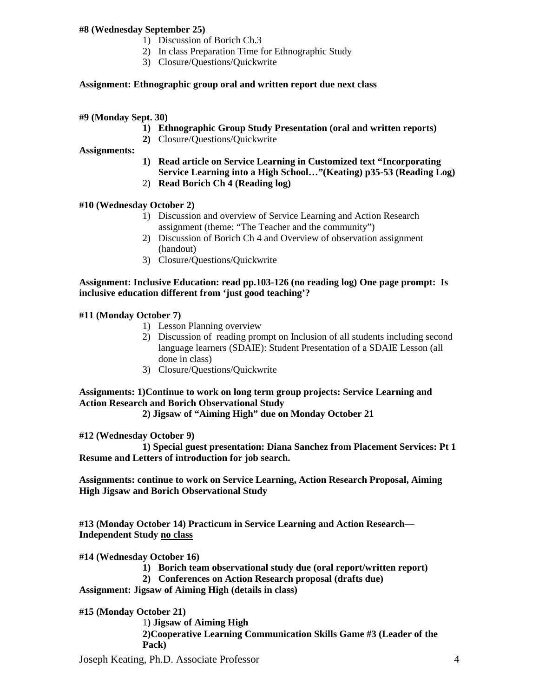## **#8 (Wednesday September 25)**

- 1) Discussion of Borich Ch.3
- 2) In class Preparation Time for Ethnographic Study
- 3) Closure/Questions/Quickwrite

## **Assignment: Ethnographic group oral and written report due next class**

**#9 (Monday Sept. 30)**

- **1) Ethnographic Group Study Presentation (oral and written reports)**
- **2)** Closure/Questions/Quickwrite

**Assignments:**

- **1) Read article on Service Learning in Customized text "Incorporating Service Learning into a High School…"(Keating) p35-53 (Reading Log)**
- 2) **Read Borich Ch 4 (Reading log)**

## **#10 (Wednesday October 2)**

- 1) Discussion and overview of Service Learning and Action Research assignment (theme: "The Teacher and the community")
- 2) Discussion of Borich Ch 4 and Overview of observation assignment (handout)
- 3) Closure/Questions/Quickwrite

### **Assignment: Inclusive Education: read pp.103-126 (no reading log) One page prompt: Is inclusive education different from 'just good teaching'?**

## **#11 (Monday October 7)**

- 1) Lesson Planning overview
- 2) Discussion of reading prompt on Inclusion of all students including second language learners (SDAIE): Student Presentation of a SDAIE Lesson (all done in class)
- 3) Closure/Questions/Quickwrite

## **Assignments: 1)Continue to work on long term group projects: Service Learning and Action Research and Borich Observational Study**

**2) Jigsaw of "Aiming High" due on Monday October 21**

**#12 (Wednesday October 9)**

**1) Special guest presentation: Diana Sanchez from Placement Services: Pt 1 Resume and Letters of introduction for job search.**

**Assignments: continue to work on Service Learning, Action Research Proposal, Aiming High Jigsaw and Borich Observational Study**

**#13 (Monday October 14) Practicum in Service Learning and Action Research— Independent Study no class**

**#14 (Wednesday October 16)** 

- **1) Borich team observational study due (oral report/written report)**
- **2) Conferences on Action Research proposal (drafts due)**

**Assignment: Jigsaw of Aiming High (details in class)**

**#15 (Monday October 21)**

1**) Jigsaw of Aiming High 2)Cooperative Learning Communication Skills Game #3 (Leader of the Pack)**

Joseph Keating, Ph.D. Associate Professor 4